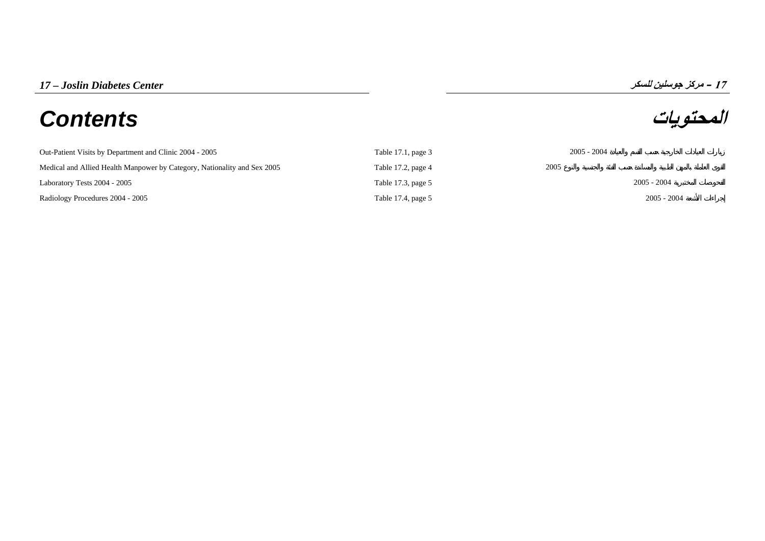# **المحتويات** *Contents*

**17**

| Out-Patient Visits by Department and Clinic 2004 - 2005                  | Table 17.1, page 3 | $2005 - 2004$ |
|--------------------------------------------------------------------------|--------------------|---------------|
| Medical and Allied Health Manpower by Category, Nationality and Sex 2005 | Table 17.2, page 4 | 2005          |
| Laboratory Tests 2004 - 2005                                             | Table 17.3, page 5 | $2005 - 2004$ |
| Radiology Procedures 2004 - 2005                                         | Table 17.4, page 5 | $2005 - 2004$ |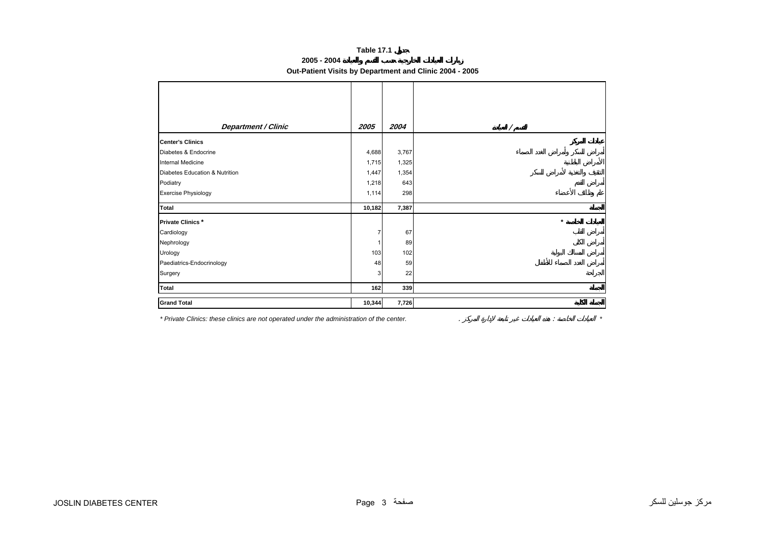# **Table 17.1**

**2005 - 2004** 

# **Out-Patient Visits by Department and Clinic 2004 - 2005**

<span id="page-1-0"></span>

| <b>Department / Clinic</b>     | 2005   | 2004  |         |
|--------------------------------|--------|-------|---------|
| <b>Center's Clinics</b>        |        |       |         |
| Diabetes & Endocrine           | 4,688  | 3,767 |         |
| Internal Medicine              | 1,715  | 1,325 |         |
| Diabetes Education & Nutrition | 1,447  | 1,354 |         |
| Podiatry                       | 1,218  | 643   |         |
| <b>Exercise Physiology</b>     | 1,114  | 298   |         |
| Total                          | 10,182 | 7,387 |         |
| <b>Private Clinics*</b>        |        |       | $\star$ |
| Cardiology                     |        | 67    |         |
| Nephrology                     |        | 89    |         |
| Urology                        | 103    | 102   |         |
| Paediatrics-Endocrinology      | 48     | 59    |         |
| Surgery                        | 3      | 22    |         |
| Total                          | 162    | 339   |         |
| <b>Grand Total</b>             | 10,344 | 7,726 |         |

*\* Private Clinics: these clinics are not operated under the administration of the center.* . : *\**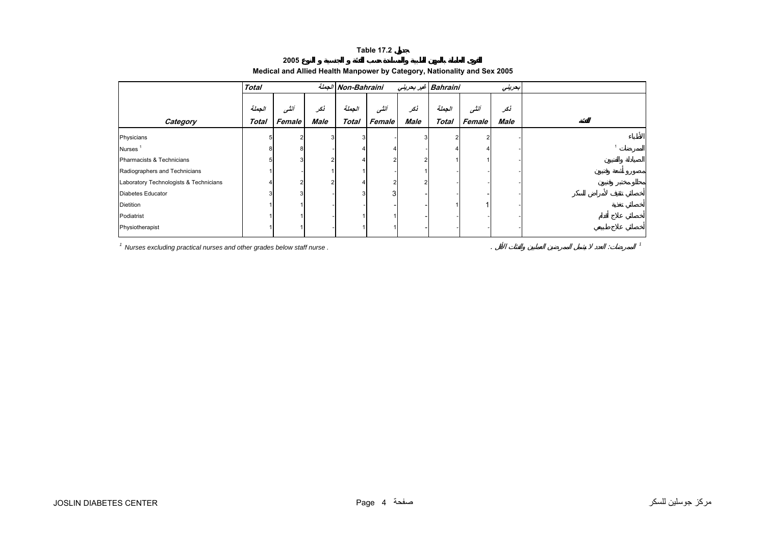#### **Table 17.2**

**2005** 

<span id="page-2-0"></span>

|                                        | <b>Total</b>           |                |             | الجملة Non-Bahraini    |                |                    | Bahraini غير بحريني    |                | بعريني      |  |
|----------------------------------------|------------------------|----------------|-------------|------------------------|----------------|--------------------|------------------------|----------------|-------------|--|
| Category                               | الجملة<br><b>Total</b> | أنشى<br>Female | نكر<br>Male | الجملة<br><b>Total</b> | أنشى<br>Female | نكر<br><b>Male</b> | الجملة<br><b>Total</b> | أنشى<br>Female | نکر<br>Male |  |
| Physicians                             |                        |                |             | 3                      |                | 3                  |                        |                |             |  |
| Nurses <sup>1</sup>                    |                        | 8              |             |                        |                |                    |                        |                |             |  |
| Pharmacists & Technicians              |                        |                |             |                        | 2              |                    |                        |                |             |  |
| Radiographers and Technicians          |                        |                |             |                        |                |                    |                        |                |             |  |
| Laboratory Technologists & Technicians |                        |                |             |                        | $\mathcal{P}$  | 2                  |                        |                |             |  |
| Diabetes Educator                      |                        |                |             |                        | 3              |                    |                        |                |             |  |
| Dietition                              |                        |                |             |                        |                |                    |                        |                |             |  |
| Podiatrist                             |                        |                |             |                        |                |                    |                        |                |             |  |
| Physiotherapist                        |                        |                |             |                        |                |                    |                        |                |             |  |

## **Medical and Allied Health Manpower by Category, Nationality and Sex 2005**

*1 Nurses excluding practical nurses and other grades below staff nurse .* . : *<sup>1</sup>*